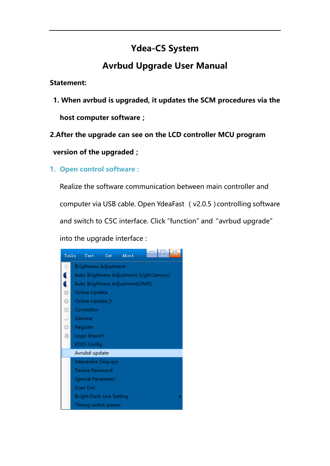# **Ydea-C5 System**

# **Avrbud Upgrade User Manual**

#### **Statement:**

**1. When avrbud is upgraded, it updates the SCM procedures via the** 

**host computer software;**

**2.After the upgrade can see on the LCD controller MCU program** 

**version of the upgraded;**

### **1. Open control software :**

Realize the software communication between main controller and computer via USB cable. Open YdeaFast (v2.0.5)controlling software and switch to C5C interface. Click "function" and "avrbud upgrade" into the upgrade interface :

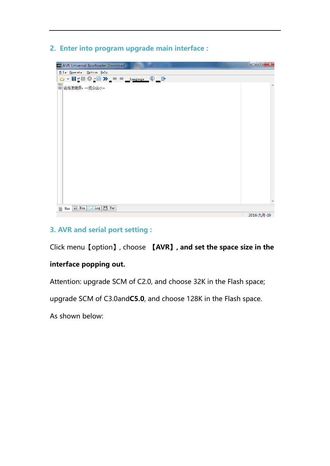**2. Enter into program upgrade main interface :**



## **3. AVR and serial port setting :**

Click menu【option】, choose **【AVR】, and set the space size in the** 

### **interface popping out.**

Attention: upgrade SCM of C2.0, and choose 32K in the Flash space;

upgrade SCM of C3.0and**C5.0**, and choose 128K in the Flash space.

As shown below: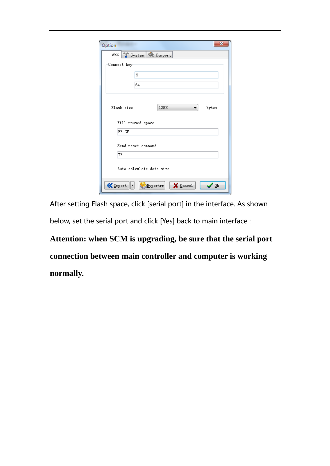| AVR.         | System & Comport         |
|--------------|--------------------------|
| Connect key- |                          |
|              | d                        |
|              | 64                       |
|              |                          |
| Flash size   | 128K<br>bytes            |
|              | Fill unused space        |
| FF CF        |                          |
|              | Send reset command       |
| 7E           |                          |
|              | Auto calculate data size |

After setting Flash space, click [serial port] in the interface. As shown below, set the serial port and click [Yes] back to main interface:

**Attention: when SCM is upgrading, be sure that the serial port connection between main controller and computer is working normally.**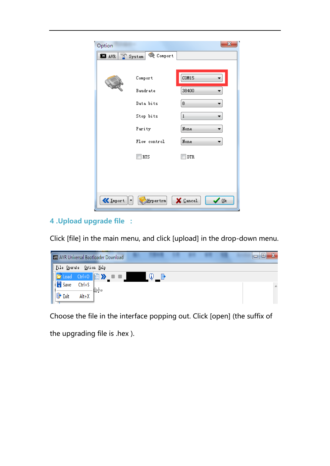| Option          |                   | $\mathbf{x}$                    |
|-----------------|-------------------|---------------------------------|
| <b>EI</b> AVR   | Comport<br>System |                                 |
|                 | Comport           | COM15                           |
|                 | Baudrate          | 38400                           |
|                 | Data bits         | 8                               |
|                 | Stop bits         | $\mathbf{1}$                    |
|                 | Parity            | None                            |
|                 | Flow control      | None                            |
|                 | <b>RTS</b>        | <b>DTR</b>                      |
|                 |                   |                                 |
|                 |                   |                                 |
| <b>K</b> Import | Hypertrm          | $\times$ Cancel<br>⁄ <u>0</u> k |

## **4 .Upload upgrade file :**

Click [file] in the main menu, and click [upload] in the drop-down menu.



Choose the file in the interface popping out. Click [open] (the suffix of

the upgrading file is .hex ).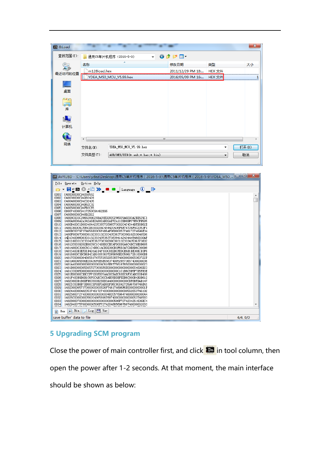| <b>RIB</b> & Load |                                                  |                                                |                         |                   |        | $\mathbf{x}$ |
|-------------------|--------------------------------------------------|------------------------------------------------|-------------------------|-------------------|--------|--------------|
| 查找范围(I):          |                                                  | 通用C5单片机程序 (2016-5-9)                           |                         | ◎ 步 [2] 国*        |        |              |
|                   | 名称                                               |                                                |                         | 修改日期              | 类型     | 大小           |
| 最近访问的位置           | m128load.hex                                     |                                                |                         | 2011/12/29 PM 18  | HEX 文件 |              |
|                   |                                                  | YDEA_M50_MCU_V5.99.hex                         |                         | 2016/05/09 PM 16: | HEX 文件 |              |
|                   |                                                  |                                                |                         |                   |        |              |
| 桌面                |                                                  |                                                |                         |                   |        |              |
|                   |                                                  |                                                |                         |                   |        |              |
| 電库                |                                                  |                                                |                         |                   |        |              |
|                   |                                                  |                                                |                         |                   |        |              |
| $\blacksquare$    |                                                  |                                                |                         |                   |        |              |
| 计算机               |                                                  |                                                |                         |                   |        |              |
| Q                 |                                                  |                                                |                         |                   |        |              |
| 网络                | ◢                                                |                                                | $\mathbb{H} \mathbb{H}$ |                   |        | ь            |
|                   | 打开(0)<br>YDEA_M50_MCU_V5.99. hex<br>文件名(N):<br>▼ |                                                |                         |                   |        |              |
|                   | 文件类型(T):                                         | 取消<br>AUB/HEX/BIN(*. aub; *. hex; *. bin)<br>۰ |                         |                   |        |              |
|                   |                                                  |                                                |                         |                   |        |              |

| File Operate<br>Option Help                                                                                                                                                                                                                                                                                                                                                                                                                                                                                                                                                                                                                                                                                                                                                                                                                                                                                                                                                                                                                                                                                                                                                                                                                                                                                                                                                                                                                                                                                                                                                                                                                                                                                                                                                                                                                                                 |         |
|-----------------------------------------------------------------------------------------------------------------------------------------------------------------------------------------------------------------------------------------------------------------------------------------------------------------------------------------------------------------------------------------------------------------------------------------------------------------------------------------------------------------------------------------------------------------------------------------------------------------------------------------------------------------------------------------------------------------------------------------------------------------------------------------------------------------------------------------------------------------------------------------------------------------------------------------------------------------------------------------------------------------------------------------------------------------------------------------------------------------------------------------------------------------------------------------------------------------------------------------------------------------------------------------------------------------------------------------------------------------------------------------------------------------------------------------------------------------------------------------------------------------------------------------------------------------------------------------------------------------------------------------------------------------------------------------------------------------------------------------------------------------------------------------------------------------------------------------------------------------------------|---------|
|                                                                                                                                                                                                                                                                                                                                                                                                                                                                                                                                                                                                                                                                                                                                                                                                                                                                                                                                                                                                                                                                                                                                                                                                                                                                                                                                                                                                                                                                                                                                                                                                                                                                                                                                                                                                                                                                             |         |
| Language (1)<br>▾ <mark>ਸ਼</mark> ▓▓▓░ <sub>▁</sub> ▆▌» <sub>▁</sub> ▆<br>0001 0400000000094050552<br>:040038000C94D82428<br>0002<br>0003<br>:040040000094032435<br>0004<br>:040048000C94B62C32<br>0005<br>:0400500000C94FB2CE5<br>0006<br>:080074000C9417250C94462D95<br>0007<br>:040080000C948D2D22<br>0008 :14008C003C2866289028BA28ED2820296029A0293A2BD529C1<br>0009<br>:1400A0000A2A342A5E2A882ABD2AE72A112BB8DFC7E5CFB585<br>0010 1:1400B400C1D00048442053657269657300204C4544BFD8D62E<br>:1400C800C6CFB5CDB300204C454420436F6E74726F6C2053F1<br>0011<br>0012<br>:1400DC00797374656D00C6F4B6AFD6D0005374617274696E34<br>0013 1400F000670000010230313233343536373839616263646596<br>0014 14D104006600303132333435363738394142434445460030AF<br>0015 :14011800313233343536373839200030313233343536373802<br>0016 1:14012C0039202E00C6C1C4BBB2CECAFD00B9A6C4DCC9E8D665<br>0017 1:14014000C300C6C1C4BBC1ACBDD300B3F6B3A7C9E8D6C30098<br>0018 14015400D3EFD1D4D1A1D4F100C8EDBCFEB0E6B1BE00BCD3F6<br>0019 14016800C3DCB6D4CAB10053637265656E20506172610000DB<br>0020 :14017C000004665617475726520536574000000005363722F<br>0021<br>:1401900065656E20436F6E6E65637400526573657400000036<br>0022 :1401A400000000000000004C616E6775616765000000000023<br>0023 1401B800000056657273696F6E000000000000000054696D23<br>0024 :1401CC006500000000000000000000000C1C1B6C8B5F7D5FB3E<br>0025 1401E00000CDBCCFF1D0FDD7AA00CBAEC6BDC6F0CABC00B488<br>0026 1401F400B9D6B1C6F0CABC00CBAEC6BDBFEDB6C800B4B9D612<br>0027 14020800B1B8DFB6C800B2BDB3A40000000000CDF8BFDAB147<br>0028 :14021C00B8B7DD00CDF8BFDAB8DFB6C8004272696768746E41<br>0029 :1402300065737300000000526F746174696F6E00000000001F<br>0030 :14024400004820537461727400000000000000562053746192<br>:14025800727400000000000000482057696474680000000044<br>0031<br>0032 :14026C00000000562048656967687400000000000053746583 |         |
| 0034 :140294007570000000506F7274204865696768740000002033                                                                                                                                                                                                                                                                                                                                                                                                                                                                                                                                                                                                                                                                                                                                                                                                                                                                                                                                                                                                                                                                                                                                                                                                                                                                                                                                                                                                                                                                                                                                                                                                                                                                                                                                                                                                                    |         |
| $n$ Bin<br>$Log$ $\boxed{4.0}$ $Ver$<br>Hex<br>m                                                                                                                                                                                                                                                                                                                                                                                                                                                                                                                                                                                                                                                                                                                                                                                                                                                                                                                                                                                                                                                                                                                                                                                                                                                                                                                                                                                                                                                                                                                                                                                                                                                                                                                                                                                                                            |         |
| save buffer' data to file                                                                                                                                                                                                                                                                                                                                                                                                                                                                                                                                                                                                                                                                                                                                                                                                                                                                                                                                                                                                                                                                                                                                                                                                                                                                                                                                                                                                                                                                                                                                                                                                                                                                                                                                                                                                                                                   | 4/4.0/0 |
|                                                                                                                                                                                                                                                                                                                                                                                                                                                                                                                                                                                                                                                                                                                                                                                                                                                                                                                                                                                                                                                                                                                                                                                                                                                                                                                                                                                                                                                                                                                                                                                                                                                                                                                                                                                                                                                                             |         |

## **5 Upgrading SCM program**

Close the power of main controller first, and click **in** in tool column, then open the power after 1-2 seconds. At that moment, the main interface should be shown as below: